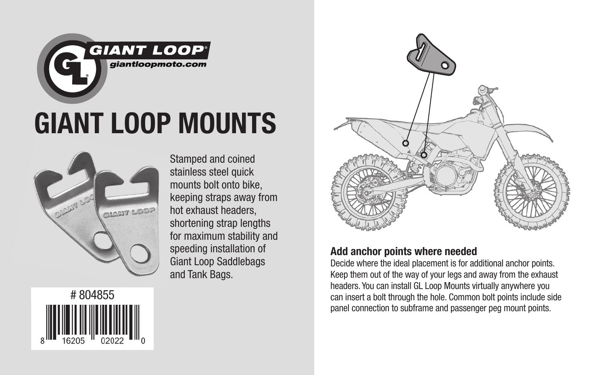

## GIANT LOOP MOUNTS



# 804855

Stamped and coined stainless steel quick mounts bolt onto bike, keeping straps away from hot exhaust headers, shortening strap lengths for maximum stability and speeding installation of Giant Loop Saddlebags and Tank Bags.



## Add anchor points where needed

Decide where the ideal placement is for additional anchor points. Keep them out of the way of your legs and away from the exhaust headers. You can install GL Loop Mounts virtually anywhere you can insert a bolt through the hole. Common bolt points include side panel connection to subframe and passenger peg mount points.